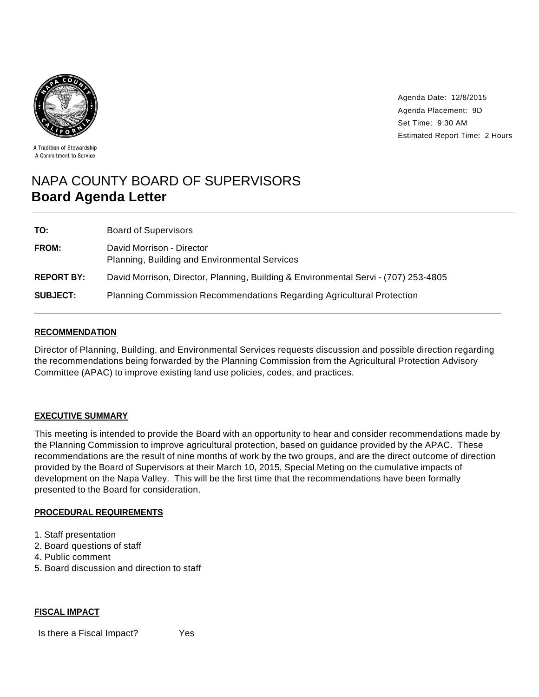

Agenda Date: 12/8/2015 Agenda Placement: 9D Set Time: 9:30 AM Estimated Report Time: 2 Hours

A Tradition of Stewardship A Commitment to Service

# NAPA COUNTY BOARD OF SUPERVISORS **Board Agenda Letter**

| TO:               | <b>Board of Supervisors</b>                                                         |
|-------------------|-------------------------------------------------------------------------------------|
| FROM:             | David Morrison - Director<br>Planning, Building and Environmental Services          |
| <b>REPORT BY:</b> | David Morrison, Director, Planning, Building & Environmental Servi - (707) 253-4805 |
| <b>SUBJECT:</b>   | <b>Planning Commission Recommendations Regarding Agricultural Protection</b>        |

## **RECOMMENDATION**

Director of Planning, Building, and Environmental Services requests discussion and possible direction regarding the recommendations being forwarded by the Planning Commission from the Agricultural Protection Advisory Committee (APAC) to improve existing land use policies, codes, and practices.

## **EXECUTIVE SUMMARY**

This meeting is intended to provide the Board with an opportunity to hear and consider recommendations made by the Planning Commission to improve agricultural protection, based on guidance provided by the APAC. These recommendations are the result of nine months of work by the two groups, and are the direct outcome of direction provided by the Board of Supervisors at their March 10, 2015, Special Meting on the cumulative impacts of development on the Napa Valley. This will be the first time that the recommendations have been formally presented to the Board for consideration.

## **PROCEDURAL REQUIREMENTS**

- 1. Staff presentation
- 2. Board questions of staff
- 4. Public comment
- 5. Board discussion and direction to staff

#### **FISCAL IMPACT**

Is there a Fiscal Impact? Yes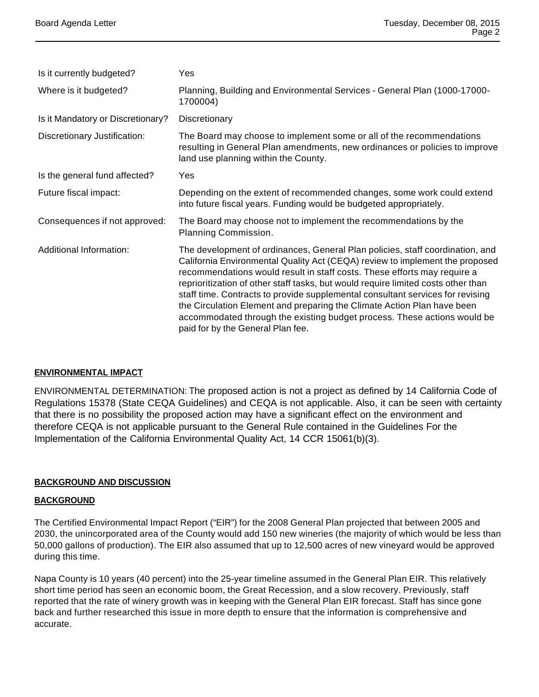| Is it currently budgeted?         | Yes                                                                                                                                                                                                                                                                                                                                                                                                                                                                                                                                                                                                          |
|-----------------------------------|--------------------------------------------------------------------------------------------------------------------------------------------------------------------------------------------------------------------------------------------------------------------------------------------------------------------------------------------------------------------------------------------------------------------------------------------------------------------------------------------------------------------------------------------------------------------------------------------------------------|
| Where is it budgeted?             | Planning, Building and Environmental Services - General Plan (1000-17000-<br>1700004)                                                                                                                                                                                                                                                                                                                                                                                                                                                                                                                        |
| Is it Mandatory or Discretionary? | Discretionary                                                                                                                                                                                                                                                                                                                                                                                                                                                                                                                                                                                                |
| Discretionary Justification:      | The Board may choose to implement some or all of the recommendations<br>resulting in General Plan amendments, new ordinances or policies to improve<br>land use planning within the County.                                                                                                                                                                                                                                                                                                                                                                                                                  |
| Is the general fund affected?     | Yes                                                                                                                                                                                                                                                                                                                                                                                                                                                                                                                                                                                                          |
| Future fiscal impact:             | Depending on the extent of recommended changes, some work could extend<br>into future fiscal years. Funding would be budgeted appropriately.                                                                                                                                                                                                                                                                                                                                                                                                                                                                 |
| Consequences if not approved:     | The Board may choose not to implement the recommendations by the<br>Planning Commission.                                                                                                                                                                                                                                                                                                                                                                                                                                                                                                                     |
| Additional Information:           | The development of ordinances, General Plan policies, staff coordination, and<br>California Environmental Quality Act (CEQA) review to implement the proposed<br>recommendations would result in staff costs. These efforts may require a<br>reprioritization of other staff tasks, but would require limited costs other than<br>staff time. Contracts to provide supplemental consultant services for revising<br>the Circulation Element and preparing the Climate Action Plan have been<br>accommodated through the existing budget process. These actions would be<br>paid for by the General Plan fee. |

## **ENVIRONMENTAL IMPACT**

ENVIRONMENTAL DETERMINATION: The proposed action is not a project as defined by 14 California Code of Regulations 15378 (State CEQA Guidelines) and CEQA is not applicable. Also, it can be seen with certainty that there is no possibility the proposed action may have a significant effect on the environment and therefore CEQA is not applicable pursuant to the General Rule contained in the Guidelines For the Implementation of the California Environmental Quality Act, 14 CCR 15061(b)(3).

# **BACKGROUND AND DISCUSSION**

## **BACKGROUND**

The Certified Environmental Impact Report ("EIR") for the 2008 General Plan projected that between 2005 and 2030, the unincorporated area of the County would add 150 new wineries (the majority of which would be less than 50,000 gallons of production). The EIR also assumed that up to 12,500 acres of new vineyard would be approved during this time.

Napa County is 10 years (40 percent) into the 25-year timeline assumed in the General Plan EIR. This relatively short time period has seen an economic boom, the Great Recession, and a slow recovery. Previously, staff reported that the rate of winery growth was in keeping with the General Plan EIR forecast. Staff has since gone back and further researched this issue in more depth to ensure that the information is comprehensive and accurate.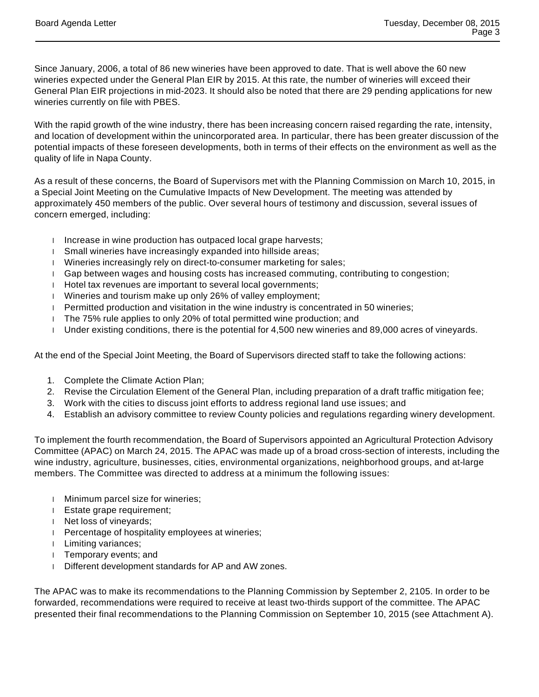Since January, 2006, a total of 86 new wineries have been approved to date. That is well above the 60 new wineries expected under the General Plan EIR by 2015. At this rate, the number of wineries will exceed their General Plan EIR projections in mid-2023. It should also be noted that there are 29 pending applications for new wineries currently on file with PBES.

With the rapid growth of the wine industry, there has been increasing concern raised regarding the rate, intensity, and location of development within the unincorporated area. In particular, there has been greater discussion of the potential impacts of these foreseen developments, both in terms of their effects on the environment as well as the quality of life in Napa County.

As a result of these concerns, the Board of Supervisors met with the Planning Commission on March 10, 2015, in a Special Joint Meeting on the Cumulative Impacts of New Development. The meeting was attended by approximately 450 members of the public. Over several hours of testimony and discussion, several issues of concern emerged, including:

- Increase in wine production has outpaced local grape harvests;
- Small wineries have increasingly expanded into hillside areas;
- Wineries increasingly rely on direct-to-consumer marketing for sales;
- Gap between wages and housing costs has increased commuting, contributing to congestion;
- Hotel tax revenues are important to several local governments;
- Wineries and tourism make up only 26% of valley employment;
- Permitted production and visitation in the wine industry is concentrated in 50 wineries;
- The 75% rule applies to only 20% of total permitted wine production; and
- Under existing conditions, there is the potential for 4,500 new wineries and 89,000 acres of vineyards.

At the end of the Special Joint Meeting, the Board of Supervisors directed staff to take the following actions:

- 1. Complete the Climate Action Plan;
- 2. Revise the Circulation Element of the General Plan, including preparation of a draft traffic mitigation fee;
- 3. Work with the cities to discuss joint efforts to address regional land use issues; and
- 4. Establish an advisory committee to review County policies and regulations regarding winery development.

To implement the fourth recommendation, the Board of Supervisors appointed an Agricultural Protection Advisory Committee (APAC) on March 24, 2015. The APAC was made up of a broad cross-section of interests, including the wine industry, agriculture, businesses, cities, environmental organizations, neighborhood groups, and at-large members. The Committee was directed to address at a minimum the following issues:

- Minimum parcel size for wineries;
- Estate grape requirement;
- Net loss of vineyards;
- Percentage of hospitality employees at wineries;
- Limiting variances;
- **Temporary events; and**
- Different development standards for AP and AW zones.

The APAC was to make its recommendations to the Planning Commission by September 2, 2105. In order to be forwarded, recommendations were required to receive at least two-thirds support of the committee. The APAC presented their final recommendations to the Planning Commission on September 10, 2015 (see Attachment A).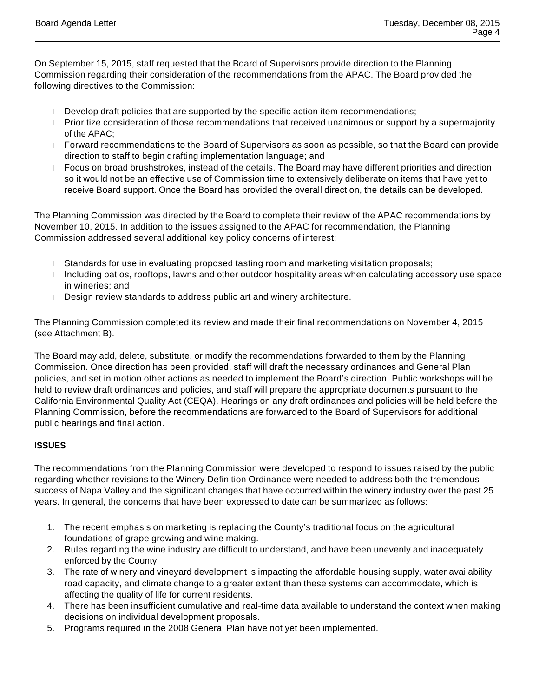On September 15, 2015, staff requested that the Board of Supervisors provide direction to the Planning Commission regarding their consideration of the recommendations from the APAC. The Board provided the following directives to the Commission:

- Develop draft policies that are supported by the specific action item recommendations;
- Prioritize consideration of those recommendations that received unanimous or support by a supermajority of the APAC;
- Forward recommendations to the Board of Supervisors as soon as possible, so that the Board can provide direction to staff to begin drafting implementation language; and
- Focus on broad brushstrokes, instead of the details. The Board may have different priorities and direction, so it would not be an effective use of Commission time to extensively deliberate on items that have yet to receive Board support. Once the Board has provided the overall direction, the details can be developed.

The Planning Commission was directed by the Board to complete their review of the APAC recommendations by November 10, 2015. In addition to the issues assigned to the APAC for recommendation, the Planning Commission addressed several additional key policy concerns of interest:

- I Standards for use in evaluating proposed tasting room and marketing visitation proposals;
- Including patios, rooftops, lawns and other outdoor hospitality areas when calculating accessory use space in wineries; and
- Design review standards to address public art and winery architecture.

The Planning Commission completed its review and made their final recommendations on November 4, 2015 (see Attachment B).

The Board may add, delete, substitute, or modify the recommendations forwarded to them by the Planning Commission. Once direction has been provided, staff will draft the necessary ordinances and General Plan policies, and set in motion other actions as needed to implement the Board's direction. Public workshops will be held to review draft ordinances and policies, and staff will prepare the appropriate documents pursuant to the California Environmental Quality Act (CEQA). Hearings on any draft ordinances and policies will be held before the Planning Commission, before the recommendations are forwarded to the Board of Supervisors for additional public hearings and final action.

# **ISSUES**

The recommendations from the Planning Commission were developed to respond to issues raised by the public regarding whether revisions to the Winery Definition Ordinance were needed to address both the tremendous success of Napa Valley and the significant changes that have occurred within the winery industry over the past 25 years. In general, the concerns that have been expressed to date can be summarized as follows:

- 1. The recent emphasis on marketing is replacing the County's traditional focus on the agricultural foundations of grape growing and wine making.
- 2. Rules regarding the wine industry are difficult to understand, and have been unevenly and inadequately enforced by the County.
- 3. The rate of winery and vineyard development is impacting the affordable housing supply, water availability, road capacity, and climate change to a greater extent than these systems can accommodate, which is affecting the quality of life for current residents.
- 4. There has been insufficient cumulative and real-time data available to understand the context when making decisions on individual development proposals.
- 5. Programs required in the 2008 General Plan have not yet been implemented.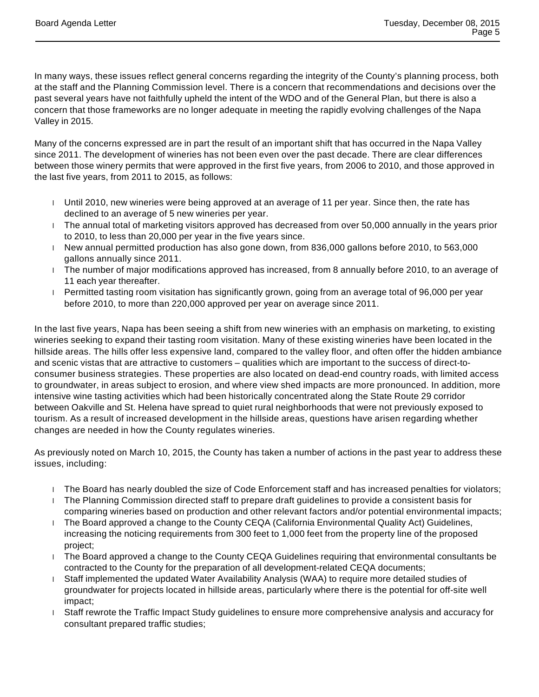In many ways, these issues reflect general concerns regarding the integrity of the County's planning process, both at the staff and the Planning Commission level. There is a concern that recommendations and decisions over the past several years have not faithfully upheld the intent of the WDO and of the General Plan, but there is also a concern that those frameworks are no longer adequate in meeting the rapidly evolving challenges of the Napa Valley in 2015.

Many of the concerns expressed are in part the result of an important shift that has occurred in the Napa Valley since 2011. The development of wineries has not been even over the past decade. There are clear differences between those winery permits that were approved in the first five years, from 2006 to 2010, and those approved in the last five years, from 2011 to 2015, as follows:

- Until 2010, new wineries were being approved at an average of 11 per year. Since then, the rate has declined to an average of 5 new wineries per year.
- The annual total of marketing visitors approved has decreased from over 50,000 annually in the years prior to 2010, to less than 20,000 per year in the five years since.
- New annual permitted production has also gone down, from 836,000 gallons before 2010, to 563,000 gallons annually since 2011.
- The number of major modifications approved has increased, from 8 annually before 2010, to an average of 11 each year thereafter.
- Permitted tasting room visitation has significantly grown, going from an average total of 96,000 per year before 2010, to more than 220,000 approved per year on average since 2011.

In the last five years, Napa has been seeing a shift from new wineries with an emphasis on marketing, to existing wineries seeking to expand their tasting room visitation. Many of these existing wineries have been located in the hillside areas. The hills offer less expensive land, compared to the valley floor, and often offer the hidden ambiance and scenic vistas that are attractive to customers – qualities which are important to the success of direct-toconsumer business strategies. These properties are also located on dead-end country roads, with limited access to groundwater, in areas subject to erosion, and where view shed impacts are more pronounced. In addition, more intensive wine tasting activities which had been historically concentrated along the State Route 29 corridor between Oakville and St. Helena have spread to quiet rural neighborhoods that were not previously exposed to tourism. As a result of increased development in the hillside areas, questions have arisen regarding whether changes are needed in how the County regulates wineries.

As previously noted on March 10, 2015, the County has taken a number of actions in the past year to address these issues, including:

- The Board has nearly doubled the size of Code Enforcement staff and has increased penalties for violators;
- The Planning Commission directed staff to prepare draft guidelines to provide a consistent basis for comparing wineries based on production and other relevant factors and/or potential environmental impacts;
- The Board approved a change to the County CEQA (California Environmental Quality Act) Guidelines, increasing the noticing requirements from 300 feet to 1,000 feet from the property line of the proposed project;
- The Board approved a change to the County CEQA Guidelines requiring that environmental consultants be contracted to the County for the preparation of all development-related CEQA documents;
- Staff implemented the updated Water Availability Analysis (WAA) to require more detailed studies of groundwater for projects located in hillside areas, particularly where there is the potential for off-site well impact;
- $\perp$  Staff rewrote the Traffic Impact Study guidelines to ensure more comprehensive analysis and accuracy for consultant prepared traffic studies;